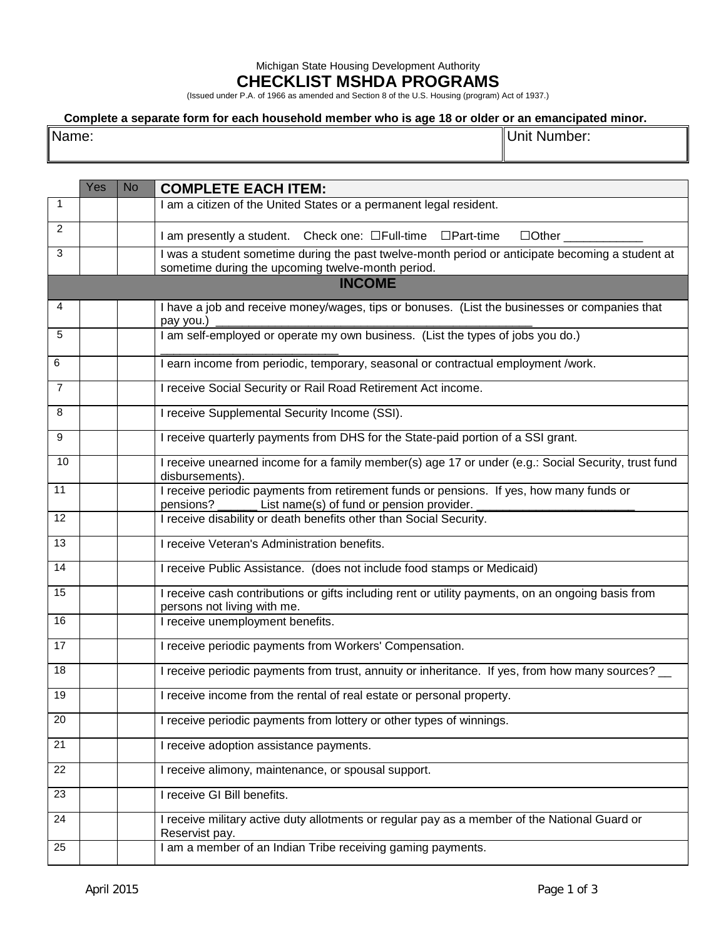## Michigan State Housing Development Authority **CHECKLIST MSHDA PROGRAMS**

(Issued under P.A. of 1966 as amended and Section 8 of the U.S. Housing (program) Act of 1937.)

## **Complete a separate form for each household member who is age 18 or older or an emancipated minor.**

Name: Unit Number:

|                | Yes | <b>No</b> | <b>COMPLETE EACH ITEM:</b>                                                                                                                              |
|----------------|-----|-----------|---------------------------------------------------------------------------------------------------------------------------------------------------------|
| $\mathbf{1}$   |     |           | I am a citizen of the United States or a permanent legal resident.                                                                                      |
| 2              |     |           | I am presently a student. Check one: □Full-time □Part-time<br>$\Box$ Other                                                                              |
| 3              |     |           | I was a student sometime during the past twelve-month period or anticipate becoming a student at<br>sometime during the upcoming twelve-month period.   |
|                |     |           | <b>INCOME</b>                                                                                                                                           |
| 4              |     |           | I have a job and receive money/wages, tips or bonuses. (List the businesses or companies that<br>pay you.)                                              |
| 5              |     |           | I am self-employed or operate my own business. (List the types of jobs you do.)                                                                         |
| 6              |     |           | I earn income from periodic, temporary, seasonal or contractual employment /work.                                                                       |
| $\overline{7}$ |     |           | I receive Social Security or Rail Road Retirement Act income.                                                                                           |
| 8              |     |           | I receive Supplemental Security Income (SSI).                                                                                                           |
| 9              |     |           | I receive quarterly payments from DHS for the State-paid portion of a SSI grant.                                                                        |
| 10             |     |           | I receive unearned income for a family member(s) age 17 or under (e.g.: Social Security, trust fund<br>disbursements).                                  |
| 11             |     |           | I receive periodic payments from retirement funds or pensions. If yes, how many funds or<br>pensions? _______ List name(s) of fund or pension provider. |
| 12             |     |           | I receive disability or death benefits other than Social Security.                                                                                      |
| 13             |     |           | I receive Veteran's Administration benefits.                                                                                                            |
| 14             |     |           | I receive Public Assistance. (does not include food stamps or Medicaid)                                                                                 |
| 15             |     |           | I receive cash contributions or gifts including rent or utility payments, on an ongoing basis from<br>persons not living with me.                       |
| 16             |     |           | I receive unemployment benefits.                                                                                                                        |
| 17             |     |           | I receive periodic payments from Workers' Compensation.                                                                                                 |
| 18             |     |           | I receive periodic payments from trust, annuity or inheritance. If yes, from how many sources? __                                                       |
| 19             |     |           | I receive income from the rental of real estate or personal property.                                                                                   |
| 20             |     |           | I receive periodic payments from lottery or other types of winnings.                                                                                    |
| 21             |     |           | I receive adoption assistance payments.                                                                                                                 |
| 22             |     |           | I receive alimony, maintenance, or spousal support.                                                                                                     |
| 23             |     |           | I receive GI Bill benefits.                                                                                                                             |
| 24             |     |           | I receive military active duty allotments or regular pay as a member of the National Guard or<br>Reservist pay.                                         |
| 25             |     |           | I am a member of an Indian Tribe receiving gaming payments.                                                                                             |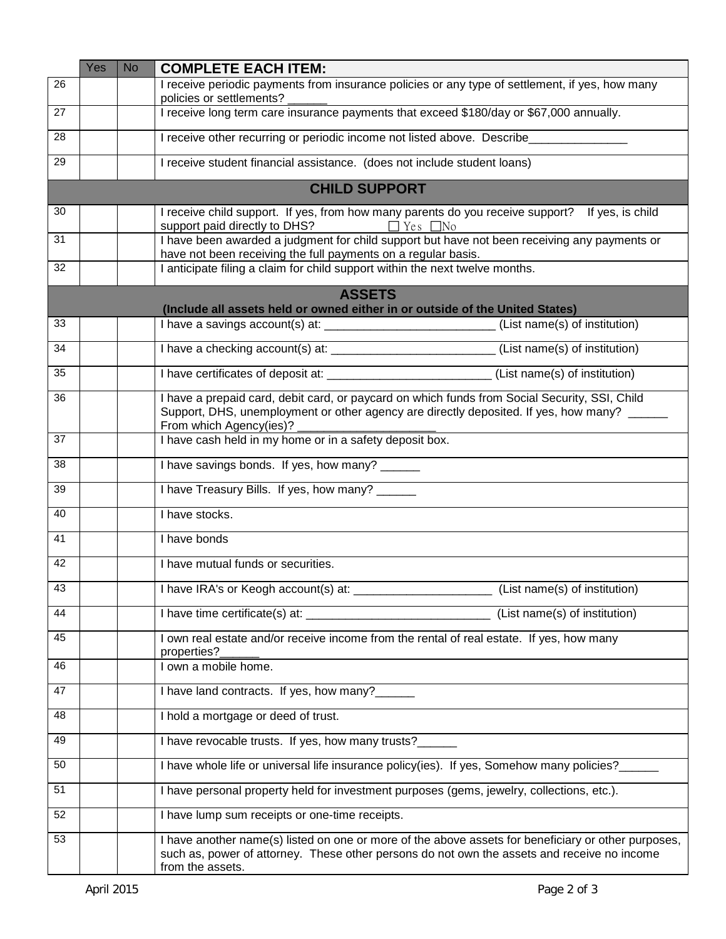|    | Yes | <b>No</b> | <b>COMPLETE EACH ITEM:</b>                                                                                                                                                                                              |
|----|-----|-----------|-------------------------------------------------------------------------------------------------------------------------------------------------------------------------------------------------------------------------|
| 26 |     |           | I receive periodic payments from insurance policies or any type of settlement, if yes, how many<br>policies or settlements?                                                                                             |
| 27 |     |           | I receive long term care insurance payments that exceed \$180/day or \$67,000 annually.                                                                                                                                 |
| 28 |     |           | I receive other recurring or periodic income not listed above. Describe_______________                                                                                                                                  |
| 29 |     |           | I receive student financial assistance. (does not include student loans)                                                                                                                                                |
|    |     |           | <b>CHILD SUPPORT</b>                                                                                                                                                                                                    |
| 30 |     |           | I receive child support. If yes, from how many parents do you receive support? If yes, is child                                                                                                                         |
| 31 |     |           | I have been awarded a judgment for child support but have not been receiving any payments or<br>have not been receiving the full payments on a regular basis.                                                           |
| 32 |     |           | I anticipate filing a claim for child support within the next twelve months.                                                                                                                                            |
|    |     |           | <b>ASSETS</b>                                                                                                                                                                                                           |
| 33 |     |           | (Include all assets held or owned either in or outside of the United States)<br>I have a savings account(s) at: ___________________________(List name(s) of institution)                                                |
|    |     |           |                                                                                                                                                                                                                         |
| 34 |     |           | I have a checking account(s) at: _______________________________(List name(s) of institution)                                                                                                                           |
| 35 |     |           |                                                                                                                                                                                                                         |
| 36 |     |           | I have a prepaid card, debit card, or paycard on which funds from Social Security, SSI, Child<br>Support, DHS, unemployment or other agency are directly deposited. If yes, how many? ______<br>From which Agency(ies)? |
| 37 |     |           | I have cash held in my home or in a safety deposit box.                                                                                                                                                                 |
| 38 |     |           | I have savings bonds. If yes, how many? ______                                                                                                                                                                          |
| 39 |     |           | I have Treasury Bills. If yes, how many? ______                                                                                                                                                                         |
| 40 |     |           | I have stocks.                                                                                                                                                                                                          |
| 41 |     |           | I have bonds                                                                                                                                                                                                            |
| 42 |     |           | I have mutual funds or securities.                                                                                                                                                                                      |
| 43 |     |           | Thave IRA's or Keogh account(s) at: _<br>(List name(s) of institution)                                                                                                                                                  |
| 44 |     |           | I have time certificate(s) at: (List name(s) of institution                                                                                                                                                             |
| 45 |     |           | I own real estate and/or receive income from the rental of real estate. If yes, how many<br>properties?                                                                                                                 |
| 46 |     |           | I own a mobile home.                                                                                                                                                                                                    |
| 47 |     |           | I have land contracts. If yes, how many?______                                                                                                                                                                          |
| 48 |     |           | I hold a mortgage or deed of trust.                                                                                                                                                                                     |
| 49 |     |           | I have revocable trusts. If yes, how many trusts?_                                                                                                                                                                      |
| 50 |     |           | I have whole life or universal life insurance policy(ies). If yes, Somehow many policies?___                                                                                                                            |
| 51 |     |           | I have personal property held for investment purposes (gems, jewelry, collections, etc.).                                                                                                                               |
| 52 |     |           | I have lump sum receipts or one-time receipts.                                                                                                                                                                          |
| 53 |     |           | I have another name(s) listed on one or more of the above assets for beneficiary or other purposes,<br>such as, power of attorney. These other persons do not own the assets and receive no income<br>from the assets.  |